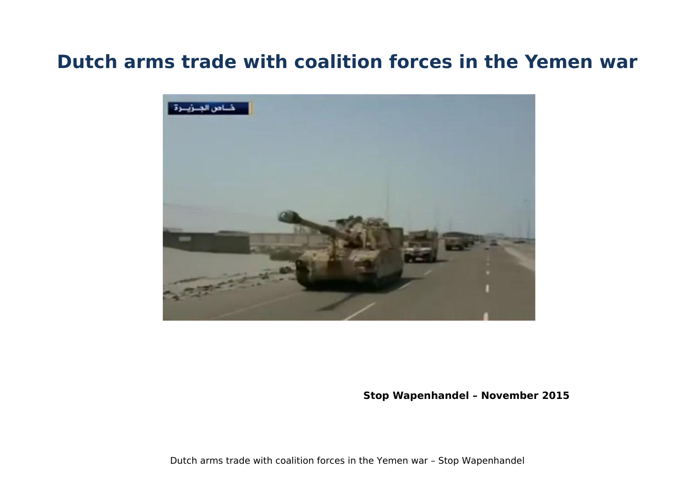# **Dutch arms trade with coalition forces in the Yemen war**



**Stop Wapenhandel – November 2015**

Dutch arms trade with coalition forces in the Yemen war – Stop Wapenhandel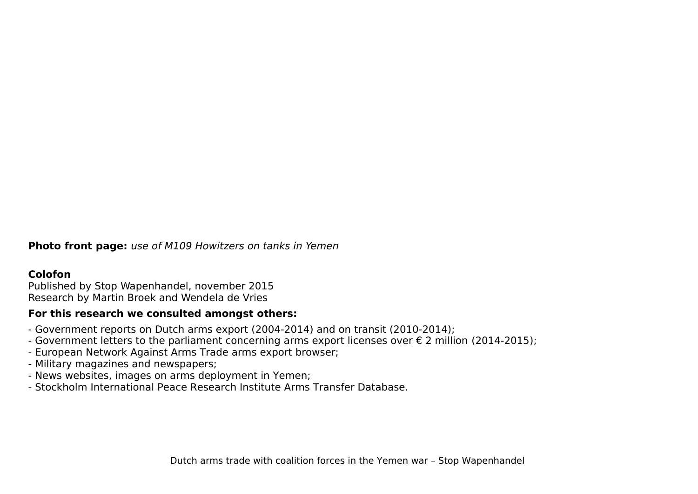**Photo front page:** use of M109 Howitzers on tanks in Yemen

#### **Colofon**

Published by Stop Wapenhandel, november 2015 Research by Martin Broek and Wendela de Vries

#### **For this research we consulted amongst others:**

- Government reports on Dutch arms export (2004-2014) and on transit (2010-2014);
- Government letters to the parliament concerning arms export licenses over € 2 million (2014-2015);
- European Network Against Arms Trade arms export browser;
- Military magazines and newspapers;
- News websites, images on arms deployment in Yemen;
- Stockholm International Peace Research Institute Arms Transfer Database.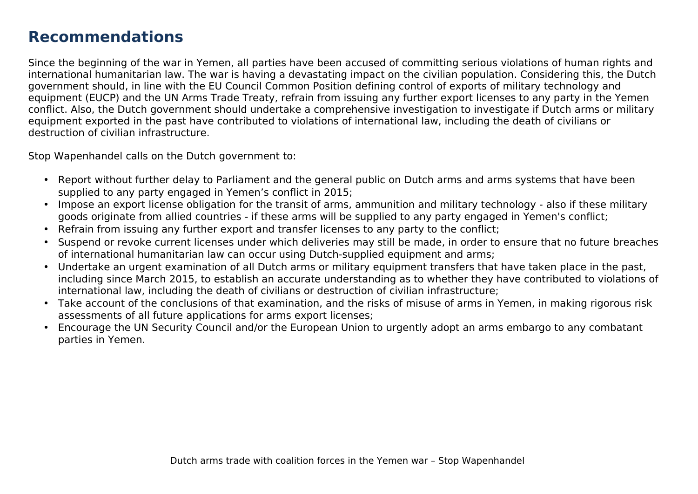# **Recommendations**

Since the beginning of the war in Yemen, all parties have been accused of committing serious violations of human rights and international humanitarian law. The war is having a devastating impact on the civilian population. Considering this, the Dutch government should, in line with the EU Council Common Position defining control of exports of military technology and equipment (EUCP) and the UN Arms Trade Treaty, refrain from issuing any further export licenses to any party in the Yemen conflict. Also, the Dutch government should undertake a comprehensive investigation to investigate if Dutch arms or military equipment exported in the past have contributed to violations of international law, including the death of civilians or destruction of civilian infrastructure.

Stop Wapenhandel calls on the Dutch government to:

- Report without further delay to Parliament and the general public on Dutch arms and arms systems that have been supplied to any party engaged in Yemen's conflict in 2015;
- Impose an export license obligation for the transit of arms, ammunition and military technology also if these military goods originate from allied countries - if these arms will be supplied to any party engaged in Yemen's conflict;
- Refrain from issuing any further export and transfer licenses to any party to the conflict;
- Suspend or revoke current licenses under which deliveries may still be made, in order to ensure that no future breaches of international humanitarian law can occur using Dutch-supplied equipment and arms;
- Undertake an urgent examination of all Dutch arms or military equipment transfers that have taken place in the past, including since March 2015, to establish an accurate understanding as to whether they have contributed to violations of international law, including the death of civilians or destruction of civilian infrastructure;
- Take account of the conclusions of that examination, and the risks of misuse of arms in Yemen, in making rigorous risk assessments of all future applications for arms export licenses;
- Encourage the UN Security Council and/or the European Union to urgently adopt an arms embargo to any combatant parties in Yemen.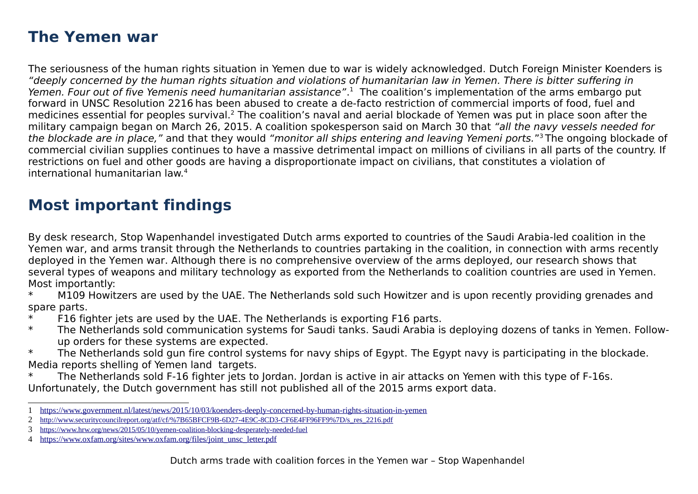# **The Yemen war**

The seriousness of the human rights situation in Yemen due to war is widely acknowledged. Dutch Foreign Minister Koenders is "deeply concerned by the human rights situation and violations of humanitarian law in Yemen. There is bitter suffering in Yemen. Four out of five Yemenis need humanitarian assistance".<sup>[1](#page-3-0)</sup> The coalition's implementation of the arms embargo put forward in UNSC Resolution 2216 has been abused to create a de-facto restriction of commercial imports of food, fuel and medicines essential for peoples survival.<sup>[2](#page-3-1)</sup> The coalition's naval and aerial blockade of Yemen was put in place soon after the military campaign began on March 26, 2015. A coalition spokesperson said on March 30 that "all the navy vessels needed for the blockade are in place," and that they would "monitor all ships entering and leaving Yemeni ports."<sup>[3](#page-3-2)</sup>The ongoing blockade of commercial civilian supplies continues to have a massive detrimental impact on millions of civilians in all parts of the country. If restrictions on fuel and other goods are having a disproportionate impact on civilians, that constitutes a violation of international humanitarian law.[4](#page-3-3)

# **Most important findings**

By desk research, Stop Wapenhandel investigated Dutch arms exported to countries of the Saudi Arabia-led coalition in the Yemen war, and arms transit through the Netherlands to countries partaking in the coalition, in connection with arms recently deployed in the Yemen war. Although there is no comprehensive overview of the arms deployed, our research shows that several types of weapons and military technology as exported from the Netherlands to coalition countries are used in Yemen. Most importantly:

\* M109 Howitzers are used by the UAE. The Netherlands sold such Howitzer and is upon recently providing grenades and spare parts.

- \* F16 fighter jets are used by the UAE. The Netherlands is exporting F16 parts.
- \* The Netherlands sold communication systems for Saudi tanks. Saudi Arabia is deploying dozens of tanks in Yemen. Followup orders for these systems are expected.
- \* The Netherlands sold gun fire control systems for navy ships of Egypt. The Egypt navy is participating in the blockade. Media reports shelling of Yemen land targets.
- The Netherlands sold F-16 fighter jets to Jordan. Jordan is active in air attacks on Yemen with this type of F-16s. Unfortunately, the Dutch government has still not published all of the 2015 arms export data.
- <span id="page-3-0"></span>1<https://www.government.nl/latest/news/2015/10/03/koenders-deeply-concerned-by-human-rights-situation-in-yemen>
- <span id="page-3-1"></span>2 [http://www.securitycouncilreport.org/atf/cf/%7B65BFCF9B-6D27-4E9C-8CD3-CF6E4FF96FF9%7D/s\\_res\\_2216.pdf](http://www.securitycouncilreport.org/atf/cf/%7B65BFCF9B-6D27-4E9C-8CD3-CF6E4FF96FF9%7D/s_res_2216.pdf)

<span id="page-3-2"></span><sup>3</sup> <https://www.hrw.org/news/2015/05/10/yemen-coalition-blocking-desperately-needed-fuel>

<span id="page-3-3"></span><sup>4</sup> [https://www.oxfam.org/sites/www.oxfam.org/files/joint\\_unsc\\_letter.pdf](https://www.oxfam.org/sites/www.oxfam.org/files/joint_unsc_letter.pdf)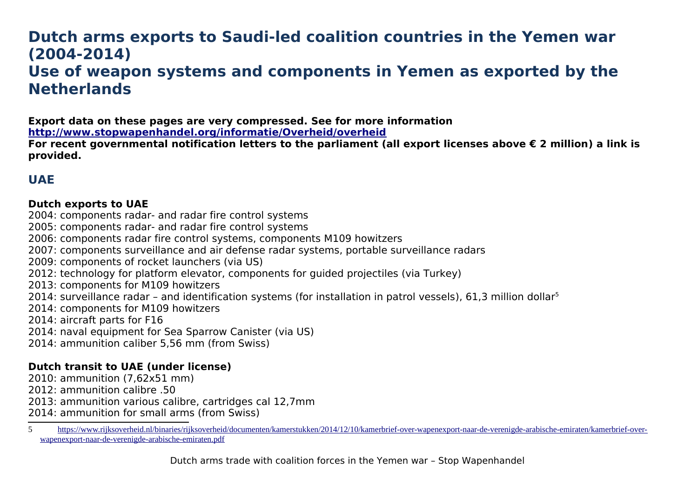# **Dutch arms exports to Saudi-led coalition countries in the Yemen war (2004-2014) Use of weapon systems and components in Yemen as exported by the Netherlands**

**Export data on these pages are very compressed. See for more information**

**<http://www.stopwapenhandel.org/informatie/Overheid/overheid>**

**For recent governmental notification letters to the parliament (all export licenses above € 2 million) a link is provided.**

## **UAE**

### **Dutch exports to UAE**

2004: components radar- and radar fire control systems

2005: components radar- and radar fire control systems

2006: components radar fire control systems, components M109 howitzers

2007: components surveillance and air defense radar systems, portable surveillance radars

2009: components of rocket launchers (via US)

2012: technology for platform elevator, components for guided projectiles (via Turkey)

2013: components for M109 howitzers

2014: surveillance radar – and identification systems (for installation in patrol vessels), 61,3 million dollar<sup>[5](#page-4-0)</sup>

2014: components for M109 howitzers

2014: aircraft parts for F16

2014: naval equipment for Sea Sparrow Canister (via US)

2014: ammunition caliber 5,56 mm (from Swiss)

#### **Dutch transit to UAE (under license)**

2010: ammunition (7,62x51 mm)

2012: ammunition calibre .50

2013: ammunition various calibre, cartridges cal 12,7mm

2014: ammunition for small arms (from Swiss)

<span id="page-4-0"></span><sup>5</sup> [https://www.rijksoverheid.nl/binaries/rijksoverheid/documenten/kamerstukken/2014/12/10/kamerbrief-over-wapenexport-naar-de-verenigde-arabische-emiraten/kamerbrief-over](https://www.rijksoverheid.nl/binaries/rijksoverheid/documenten/kamerstukken/2014/12/10/kamerbrief-over-wapenexport-naar-de-verenigde-arabische-emiraten/kamerbrief-over-)[wapenexport-naar-de-verenigde-arabische-emiraten.pdf](https://www.rijksoverheid.nl/binaries/rijksoverheid/documenten/kamerstukken/2014/12/10/kamerbrief-over-wapenexport-naar-de-verenigde-arabische-emiraten/kamerbrief-over-wapenexport-naar-de-verenigde-arabische-emiraten.pdf)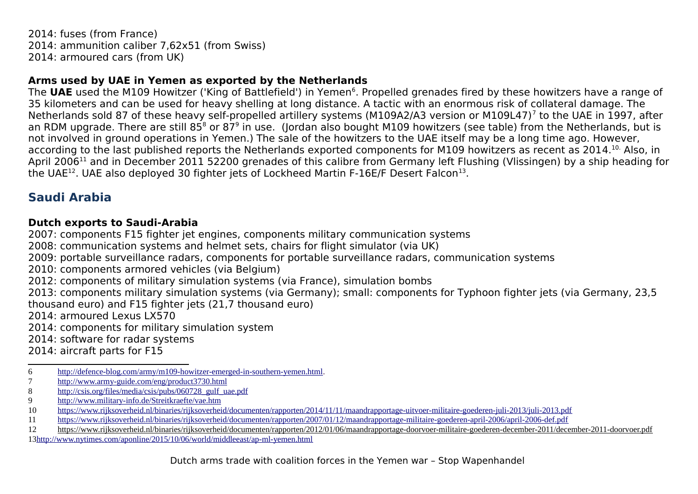2014: fuses (from France) 2014: ammunition caliber 7,62x51 (from Swiss) 2014: armoured cars (from UK)

#### **Arms used by UAE in Yemen as exported by the Netherlands**

The UAE used the M109 Howitzer ('King of Battlefield') in Yemen<sup>[6](#page-5-0)</sup>. Propelled grenades fired by these howitzers have a range of 35 kilometers and can be used for heavy shelling at long distance. A tactic with an enormous risk of collateral damage. The Netherlands sold 8[7](#page-5-1) of these heavy self-propelled artillery systems (M109A2/A3 version or M109L47)<sup>7</sup> to the UAE in 1997, after an RDM upgrade. There are still [8](#page-5-2)5<sup>8</sup> or 87<sup>[9](#page-5-3)</sup> in use. (Jordan also bought M109 howitzers (see table) from the Netherlands, but is not involved in ground operations in Yemen.) The sale of the howitzers to the UAE itself may be a long time ago. However, according to the last published reports the Netherlands exported components for M109 howitzers as recent as 2014.<sup>[10.](#page-5-4)</sup> Also, in April 2006<sup>[11](#page-5-5)</sup> and in December 2011 52200 grenades of this calibre from Germany left Flushing (Vlissingen) by a ship heading for the UAE<sup>[12](#page-5-6)</sup>. UAE also deployed 30 fighter jets of Lockheed Martin F-16E/F Desert Falcon<sup>[13](#page-5-7)</sup>.

## **Saudi Arabia**

#### **Dutch exports to Saudi-Arabia**

2007: components F15 fighter jet engines, components military communication systems

2008: communication systems and helmet sets, chairs for flight simulator (via UK)

2009: portable surveillance radars, components for portable surveillance radars, communication systems

2010: components armored vehicles (via Belgium)

2012: components of military simulation systems (via France), simulation bombs

2013: components military simulation systems (via Germany); small: components for Typhoon fighter jets (via Germany, 23,5 thousand euro) and F15 fighter jets (21,7 thousand euro)

2014: armoured Lexus LX570

2014: components for military simulation system

2014: software for radar systems

2014: aircraft parts for F15

- <span id="page-5-1"></span>7 <http://www.army-guide.com/eng/product3730.html>
- <span id="page-5-2"></span>8 [http://csis.org/files/media/csis/pubs/060728\\_gulf\\_uae.pdf](http://csis.org/files/media/csis/pubs/060728_gulf_uae.pdf)

<span id="page-5-0"></span><sup>6</sup> [http://defence-blog.com/army/m109-howitzer-emerged-in-southern-yemen.html.](http://defence-blog.com/army/m109-howitzer-emerged-in-southern-yemen.html)

<span id="page-5-3"></span><sup>9</sup> <http://www.military-info.de/Streitkraefte/vae.htm>

<span id="page-5-4"></span><sup>10</sup> <https://www.rijksoverheid.nl/binaries/rijksoverheid/documenten/rapporten/2014/11/11/maandrapportage-uitvoer-militaire-goederen-juli-2013/juli-2013.pdf>

<span id="page-5-5"></span><sup>11</sup> <https://www.rijksoverheid.nl/binaries/rijksoverheid/documenten/rapporten/2007/01/12/maandrapportage-militaire-goederen-april-2006/april-2006-def.pdf>

<span id="page-5-7"></span><span id="page-5-6"></span><sup>12</sup> <https://www.rijksoverheid.nl/binaries/rijksoverheid/documenten/rapporten/2012/01/06/maandrapportage-doorvoer-militaire-goederen-december-2011/december-2011-doorvoer.pdf> 1[3 http://www.nytimes.com/aponline/2015/10/06/world/middleeast/ap-ml-yemen.html](http://www.nytimes.com/aponline/2015/10/06/world/middleeast/ap-ml-yemen.html)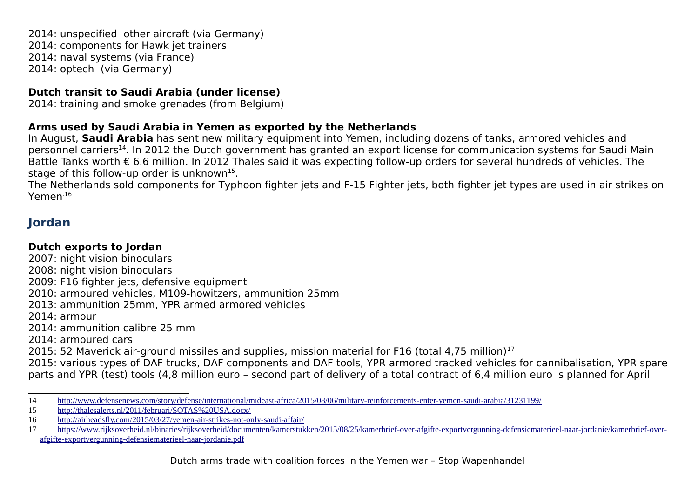2014: unspecified other aircraft (via Germany) 2014: components for Hawk jet trainers 2014: naval systems (via France) 2014: optech (via Germany)

### **Dutch transit to Saudi Arabia (under license)**

2014: training and smoke grenades (from Belgium)

### **Arms used by Saudi Arabia in Yemen as exported by the Netherlands**

In August, **Saudi Arabia** has sent new military equipment into Yemen, including dozens of tanks, armored vehicles and personnel carriers<sup>[14](#page-6-0)</sup>. In 2012 the Dutch government has granted an export license for communication systems for Saudi Main Battle Tanks worth € 6.6 million. In 2012 Thales said it was expecting follow-up orders for several hundreds of vehicles. The stage of this follow-up order is unknown $^{15}$  $^{15}$  $^{15}$ .

The Netherlands sold components for Typhoon fighter jets and F-15 Fighter jets, both fighter jet types are used in air strikes on Yemen[.16](#page-6-2)

## **Jordan**

### **Dutch exports to Jordan**

2007: night vision binoculars 2008: night vision binoculars 2009: F16 fighter jets, defensive equipment 2010: armoured vehicles, M109-howitzers, ammunition 25mm 2013: ammunition 25mm, YPR armed armored vehicles 2014: armour 2014: ammunition calibre 25 mm 2014: armoured cars 2015: 52 Maverick air-ground missiles and supplies, mission material for F16 (total 4,75 million) $^{17}$  $^{17}$  $^{17}$ 

2015: various types of DAF trucks, DAF components and DAF tools, YPR armored tracked vehicles for cannibalisation, YPR spare parts and YPR (test) tools (4,8 million euro – second part of delivery of a total contract of 6,4 million euro is planned for April

<span id="page-6-0"></span><sup>14</sup> <http://www.defensenews.com/story/defense/international/mideast-africa/2015/08/06/military-reinforcements-enter-yemen-saudi-arabia/31231199/>

<span id="page-6-1"></span><sup>15</sup> <http://thalesalerts.nl/2011/februari/SOTAS%20USA.docx/>

<span id="page-6-2"></span><sup>16</sup> <http://airheadsfly.com/2015/03/27/yemen-air-strikes-not-only-saudi-affair/>

<span id="page-6-3"></span><sup>17</sup> [https://www.rijksoverheid.nl/binaries/rijksoverheid/documenten/kamerstukken/2015/08/25/kamerbrief-over-afgifte-exportvergunning-defensiematerieel-naar-jordanie/kamerbrief-over](https://www.rijksoverheid.nl/binaries/rijksoverheid/documenten/kamerstukken/2015/08/25/kamerbrief-over-afgifte-exportvergunning-defensiematerieel-naar-jordanie/kamerbrief-over-afgifte-exportvergunning-defensiematerieel-naar-jordanie.pdf)[afgifte-exportvergunning-defensiematerieel-naar-jordanie.pdf](https://www.rijksoverheid.nl/binaries/rijksoverheid/documenten/kamerstukken/2015/08/25/kamerbrief-over-afgifte-exportvergunning-defensiematerieel-naar-jordanie/kamerbrief-over-afgifte-exportvergunning-defensiematerieel-naar-jordanie.pdf)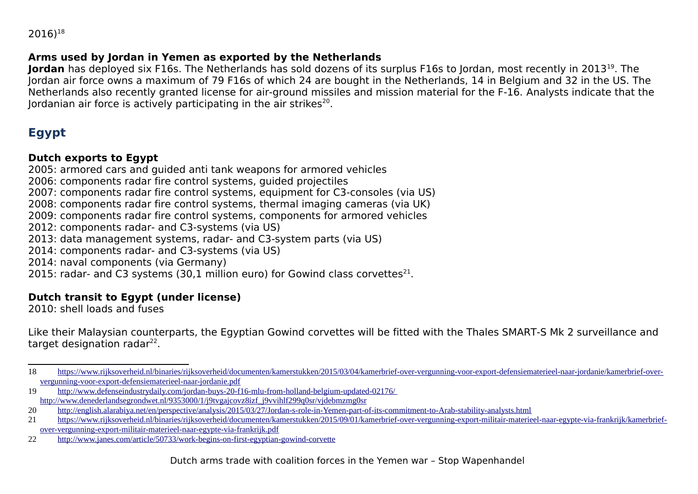$2016)^{18}$  $2016)^{18}$  $2016)^{18}$ 

#### **Arms used by Jordan in Yemen as exported by the Netherlands**

**Jordan** has deployed six F16s. The Netherlands has sold dozens of its surplus F16s to Jordan, most recently in 2013<sup>[19](#page-7-1)</sup>. The Jordan air force owns a maximum of 79 F16s of which 24 are bought in the Netherlands, 14 in Belgium and 32 in the US. The Netherlands also recently granted license for air-ground missiles and mission material for the F-16. Analysts indicate that the Jordanian air force is actively participating in the air strikes<sup>[20](#page-7-2)</sup>.

## **Egypt**

#### **Dutch exports to Egypt**

2005: armored cars and guided anti tank weapons for armored vehicles 2006: components radar fire control systems, guided projectiles 2007: components radar fire control systems, equipment for C3-consoles (via US) 2008: components radar fire control systems, thermal imaging cameras (via UK) 2009: components radar fire control systems, components for armored vehicles 2012: components radar- and C3-systems (via US) 2013: data management systems, radar- and C3-system parts (via US) 2014: components radar- and C3-systems (via US) 2014: naval components (via Germany) 2015: radar- and C3 systems (30,1 million euro) for Gowind class corvettes $^{21}$  $^{21}$  $^{21}$ .

### **Dutch transit to Egypt (under license)**

2010: shell loads and fuses

Like their Malaysian counterparts, the Egyptian Gowind corvettes will be fitted with the Thales SMART-S Mk 2 surveillance and target designation radar<sup>[22](#page-7-4)</sup>.

<span id="page-7-0"></span><sup>18</sup> [https://www.rijksoverheid.nl/binaries/rijksoverheid/documenten/kamerstukken/2015/03/04/kamerbrief-over-vergunning-voor-export-defensiematerieel-naar-jordanie/kamerbrief-over](https://www.rijksoverheid.nl/binaries/rijksoverheid/documenten/kamerstukken/2015/03/04/kamerbrief-over-vergunning-voor-export-defensiematerieel-naar-jordanie/kamerbrief-over-vergunning-voor-export-defensiematerieel-naar-jordanie.pdf)[vergunning-voor-export-defensiematerieel-naar-jordanie.pdf](https://www.rijksoverheid.nl/binaries/rijksoverheid/documenten/kamerstukken/2015/03/04/kamerbrief-over-vergunning-voor-export-defensiematerieel-naar-jordanie/kamerbrief-over-vergunning-voor-export-defensiematerieel-naar-jordanie.pdf)

<span id="page-7-1"></span><sup>19</sup> <http://www.defenseindustrydaily.com/jordan-buys-20-f16-mlu-from-holland-belgium-updated-02176/> [http://www.denederlandsegrondwet.nl/9353000/1/j9tvgajcovz8izf\\_j9vvihlf299q0sr/vjdebmzmg0sr](http://www.denederlandsegrondwet.nl/9353000/1/j9tvgajcovz8izf_j9vvihlf299q0sr/vjdebmzmg0sr)

<span id="page-7-2"></span><sup>20</sup> <http://english.alarabiya.net/en/perspective/analysis/2015/03/27/Jordan-s-role-in-Yemen-part-of-its-commitment-to-Arab-stability-analysts.html>

<span id="page-7-3"></span><sup>21</sup> [https://www.rijksoverheid.nl/binaries/rijksoverheid/documenten/kamerstukken/2015/09/01/kamerbrief-over-vergunning-export-militair-materieel-naar-egypte-via-frankrijk/kamerbrief](https://www.rijksoverheid.nl/binaries/rijksoverheid/documenten/kamerstukken/2015/09/01/kamerbrief-over-vergunning-export-militair-materieel-naar-egypte-via-frankrijk/kamerbrief-over-vergunning-export-militair-materieel-naar-egypte-via-frankrijk.pdf)[over-vergunning-export-militair-materieel-naar-egypte-via-frankrijk.pdf](https://www.rijksoverheid.nl/binaries/rijksoverheid/documenten/kamerstukken/2015/09/01/kamerbrief-over-vergunning-export-militair-materieel-naar-egypte-via-frankrijk/kamerbrief-over-vergunning-export-militair-materieel-naar-egypte-via-frankrijk.pdf)

<span id="page-7-4"></span><sup>22</sup> <http://www.janes.com/article/50733/work-begins-on-first-egyptian-gowind-corvette>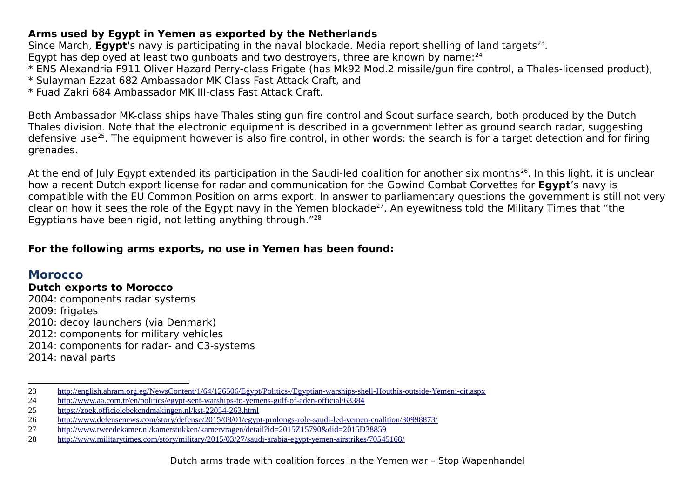#### **Arms used by Egypt in Yemen as exported by the Netherlands**

Since March, Egypt's navy is participating in the naval blockade. Media report shelling of land targets<sup>[23](#page-8-0)</sup>.

Egypt has deployed at least two gunboats and two destroyers, three are known by name: $^{24}$  $^{24}$  $^{24}$ 

- \* ENS Alexandria F911 Oliver Hazard Perry-class Frigate (has Mk92 Mod.2 missile/gun fire control, a Thales-licensed product),
- \* Sulayman Ezzat 682 Ambassador MK Class Fast Attack Craft, and
- \* Fuad Zakri 684 Ambassador MK III-class Fast Attack Craft.

Both Ambassador MK-class ships have Thales sting gun fire control and Scout surface search, both produced by the Dutch Thales division. Note that the electronic equipment is described in a government letter as ground search radar, suggesting defensive use<sup>[25](#page-8-2)</sup>. The equipment however is also fire control, in other words: the search is for a target detection and for firing grenades.

At the end of July Egypt extended its participation in the Saudi-led coalition for another six months<sup>[26](#page-8-3)</sup>. In this light, it is unclear how a recent Dutch export license for radar and communication for the Gowind Combat Corvettes for **Egypt**'s navy is compatible with the EU Common Position on arms export. In answer to parliamentary questions the government is still not very clear on how it sees the role of the Egypt navy in the Yemen blockade<sup>[27](#page-8-4)</sup>. An eyewitness told the Military Times that "the Egyptians have been rigid, not letting anything through."[28](#page-8-5)

#### **For the following arms exports, no use in Yemen has been found:**

### **Morocco**

#### **Dutch exports to Morocco**

2004: components radar systems 2009: frigates 2010: decoy launchers (via Denmark) 2012: components for military vehicles 2014: components for radar- and C3-systems 2014: naval parts

<span id="page-8-0"></span><sup>23</sup> <http://english.ahram.org.eg/NewsContent/1/64/126506/Egypt/Politics-/Egyptian-warships-shell-Houthis-outside-Yemeni-cit.aspx>

<span id="page-8-1"></span><sup>24</sup> <http://www.aa.com.tr/en/politics/egypt-sent-warships-to-yemens-gulf-of-aden-official/63384>

<span id="page-8-2"></span><sup>25</sup> <https://zoek.officielebekendmakingen.nl/kst-22054-263.html>

<span id="page-8-3"></span><sup>26</sup> <http://www.defensenews.com/story/defense/2015/08/01/egypt-prolongs-role-saudi-led-yemen-coalition/30998873/>

<span id="page-8-4"></span><sup>27</sup> <http://www.tweedekamer.nl/kamerstukken/kamervragen/detail?id=2015Z15790&did=2015D38859>

<span id="page-8-5"></span><sup>28</sup> <http://www.militarytimes.com/story/military/2015/03/27/saudi-arabia-egypt-yemen-airstrikes/70545168/>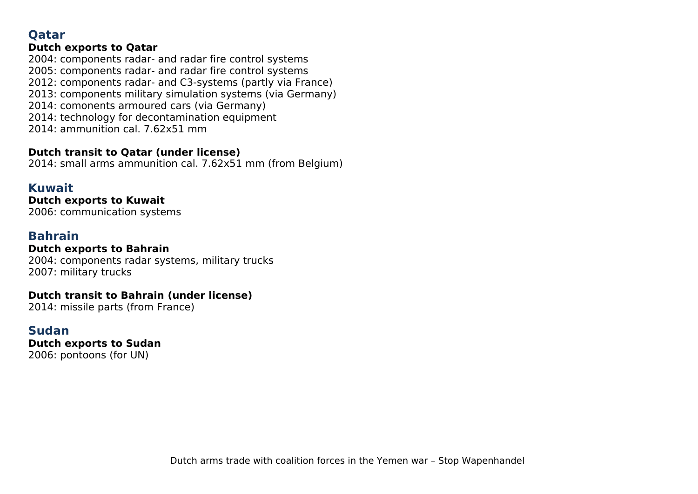## **Qatar**

#### **Dutch exports to Qatar**

2004: components radar- and radar fire control systems 2005: components radar- and radar fire control systems 2012: components radar- and C3-systems (partly via France) 2013: components military simulation systems (via Germany) 2014: comonents armoured cars (via Germany) 2014: technology for decontamination equipment 2014: ammunition cal. 7.62x51 mm

#### **Dutch transit to Qatar (under license)**

2014: small arms ammunition cal. 7.62x51 mm (from Belgium)

### **Kuwait**

**Dutch exports to Kuwait** 2006: communication systems

## **Bahrain**

**Dutch exports to Bahrain** 2004: components radar systems, military trucks

2007: military trucks

#### **Dutch transit to Bahrain (under license)**

2014: missile parts (from France)

### **Sudan**

**Dutch exports to Sudan** 2006: pontoons (for UN)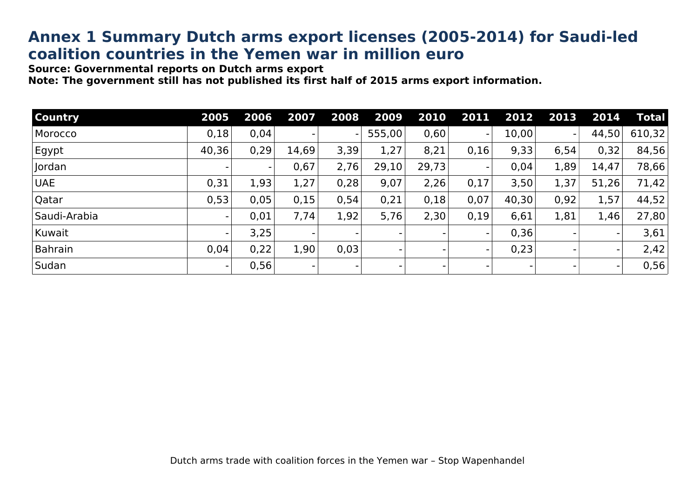# **Annex 1 Summary Dutch arms export licenses (2005-2014) for Saudi-led coalition countries in the Yemen war in million euro**

**Source: Governmental reports on Dutch arms export** 

**Note: The government still has not published its first half of 2015 arms export information.** 

| <b>Country</b> | 2005  | 2006 | 2007  | 2008           | 2009   | 2010  | 2011           | 2012  | 2013                     | 2014  | <b>Total</b> |
|----------------|-------|------|-------|----------------|--------|-------|----------------|-------|--------------------------|-------|--------------|
| Morocco        | 0,18  | 0,04 |       | $\blacksquare$ | 555,00 | 0,60  | $\blacksquare$ | 10,00 | $\overline{\phantom{0}}$ | 44,50 | 610,32       |
| Egypt          | 40,36 | 0,29 | 14,69 | 3,39           | 1,27   | 8,21  | 0,16           | 9,33  | 6,54                     | 0,32  | 84,56        |
| Jordan         |       |      | 0,67  | 2,76           | 29,10  | 29,73 | $\blacksquare$ | 0,04  | 1,89                     | 14,47 | 78,66        |
| <b>UAE</b>     | 0,31  | 1,93 | 1,27  | 0,28           | 9,07   | 2,26  | 0,17           | 3,50  | 1,37                     | 51,26 | 71,42        |
| Qatar          | 0,53  | 0,05 | 0,15  | 0,54           | 0,21   | 0,18  | 0,07           | 40,30 | 0,92                     | 1,57  | 44,52        |
| Saudi-Arabia   |       | 0,01 | 7,74  | 1,92           | 5,76   | 2,30  | 0,19           | 6,61  | 1,81                     | 1,46  | 27,80        |
| Kuwait         |       | 3,25 |       |                |        |       |                | 0,36  |                          |       | 3,61         |
| <b>Bahrain</b> | 0,04  | 0,22 | 1,90  | 0.03           |        |       |                | 0,23  |                          |       | 2,42         |
| Sudan          |       | 0,56 |       |                |        |       |                |       |                          |       | 0,56         |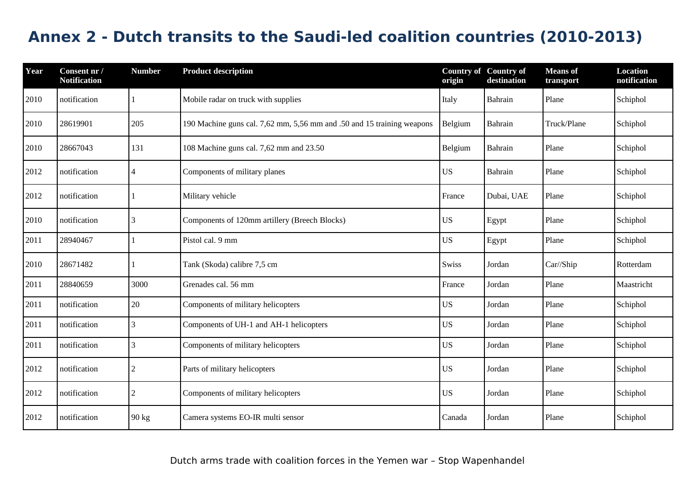# **Annex 2 - Dutch transits to the Saudi-led coalition countries (2010-2013)**

| Year | Consent nr /<br><b>Notification</b> | <b>Number</b>  | <b>Product description</b>                                             | <b>Country of Country of</b><br>origin | destination | <b>Means</b> of<br>transport | <b>Location</b><br>notification |
|------|-------------------------------------|----------------|------------------------------------------------------------------------|----------------------------------------|-------------|------------------------------|---------------------------------|
| 2010 | notification                        |                | Mobile radar on truck with supplies                                    | Italy                                  | Bahrain     | Plane                        | Schiphol                        |
| 2010 | 28619901                            | 205            | 190 Machine guns cal. 7,62 mm, 5,56 mm and .50 and 15 training weapons | Belgium                                | Bahrain     | Truck/Plane                  | Schiphol                        |
| 2010 | 28667043                            | 131            | 108 Machine guns cal. 7,62 mm and 23.50                                | Belgium                                | Bahrain     | Plane                        | Schiphol                        |
| 2012 | notification                        | $\overline{4}$ | Components of military planes                                          | <b>US</b>                              | Bahrain     | Plane                        | Schiphol                        |
| 2012 | notification                        |                | Military vehicle                                                       | France                                 | Dubai, UAE  | Plane                        | Schiphol                        |
| 2010 | notification                        | 3              | Components of 120mm artillery (Breech Blocks)                          | <b>US</b>                              | Egypt       | Plane                        | Schiphol                        |
| 2011 | 28940467                            |                | Pistol cal. 9 mm                                                       | <b>US</b>                              | Egypt       | Plane                        | Schiphol                        |
| 2010 | 28671482                            |                | Tank (Skoda) calibre 7,5 cm                                            | Swiss                                  | Jordan      | Car//Ship                    | Rotterdam                       |
| 2011 | 28840659                            | 3000           | Grenades cal. 56 mm                                                    | France                                 | Jordan      | Plane                        | Maastricht                      |
| 2011 | notification                        | 20             | Components of military helicopters                                     | <b>US</b>                              | Jordan      | Plane                        | Schiphol                        |
| 2011 | notification                        | 3              | Components of UH-1 and AH-1 helicopters                                | <b>US</b>                              | Jordan      | Plane                        | Schiphol                        |
| 2011 | notification                        | 3              | Components of military helicopters                                     | <b>US</b>                              | Jordan      | Plane                        | Schiphol                        |
| 2012 | notification                        | $\overline{2}$ | Parts of military helicopters                                          | <b>US</b>                              | Jordan      | Plane                        | Schiphol                        |
| 2012 | notification                        | $\overline{2}$ | Components of military helicopters                                     | <b>US</b>                              | Jordan      | Plane                        | Schiphol                        |
| 2012 | notification                        | 90 kg          | Camera systems EO-IR multi sensor                                      | Canada                                 | Jordan      | Plane                        | Schiphol                        |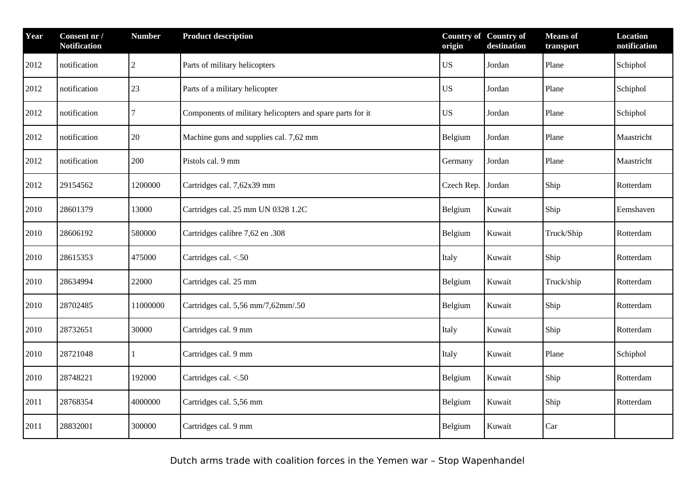| Year | Consent nr /<br><b>Notification</b> | <b>Number</b>  | <b>Product description</b>                                |           | <b>Country of Country of</b><br>destination | <b>Means</b> of<br>transport | <b>Location</b><br>notification |
|------|-------------------------------------|----------------|-----------------------------------------------------------|-----------|---------------------------------------------|------------------------------|---------------------------------|
| 2012 | notification                        | $\overline{2}$ | Parts of military helicopters                             | <b>US</b> | Jordan                                      | Plane                        | Schiphol                        |
| 2012 | notification                        | 23             | Parts of a military helicopter                            | <b>US</b> | Jordan                                      | Plane                        | Schiphol                        |
| 2012 | notification                        | 7              | Components of military helicopters and spare parts for it | US        | Jordan                                      | Plane                        | Schiphol                        |
| 2012 | notification                        | 20             | Machine guns and supplies cal. 7,62 mm                    | Belgium   | Jordan                                      | Plane                        | Maastricht                      |
| 2012 | notification                        | 200            | Pistols cal. 9 mm                                         | Germany   | Jordan                                      | Plane                        | Maastricht                      |
| 2012 | 29154562                            | 1200000        | Cartridges cal. 7,62x39 mm<br>Czech Rep.                  |           | Jordan                                      | Ship                         | Rotterdam                       |
| 2010 | 28601379                            | 13000          | Cartridges cal. 25 mm UN 0328 1.2C                        | Belgium   | Kuwait                                      | Ship                         | Eemshaven                       |
| 2010 | 28606192                            | 580000         | Cartridges calibre 7,62 en .308                           | Belgium   | Kuwait                                      | Truck/Ship                   | Rotterdam                       |
| 2010 | 28615353                            | 475000         | Cartridges cal. <.50<br>Italy                             |           | Kuwait                                      | Ship                         | Rotterdam                       |
| 2010 | 28634994                            | 22000          | Cartridges cal. 25 mm<br>Belgium                          |           | Kuwait                                      | Truck/ship                   | Rotterdam                       |
| 2010 | 28702485                            | 11000000       | Cartridges cal. 5,56 mm/7,62mm/.50                        | Belgium   | Kuwait                                      | Ship                         | Rotterdam                       |
| 2010 | 28732651                            | 30000          | Cartridges cal. 9 mm                                      | Italy     | Kuwait                                      | Ship                         | Rotterdam                       |
| 2010 | 28721048                            | 1              | Cartridges cal. 9 mm                                      | Italy     | Kuwait                                      | Plane                        | Schiphol                        |
| 2010 | 28748221                            | 192000         | Cartridges cal. <.50                                      | Belgium   | Kuwait                                      | Ship                         | Rotterdam                       |
| 2011 | 28768354                            | 4000000        | Cartridges cal. 5,56 mm                                   | Belgium   | Kuwait                                      | Ship                         | Rotterdam                       |
| 2011 | 28832001                            | 300000         | Cartridges cal. 9 mm                                      | Belgium   | Kuwait                                      | Car                          |                                 |

Dutch arms trade with coalition forces in the Yemen war – Stop Wapenhandel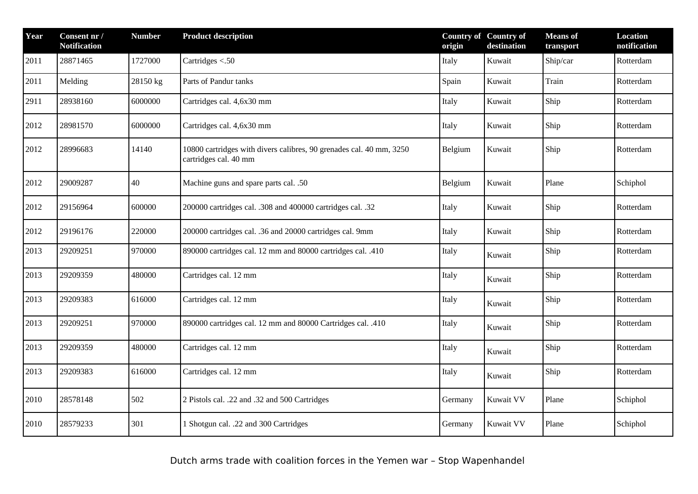| Year | Consent nr /<br><b>Notification</b> | <b>Number</b> | <b>Product description</b>                                                                              | <b>Country of Country of</b><br>origin | destination | <b>Means</b> of<br>transport | <b>Location</b><br>notification |
|------|-------------------------------------|---------------|---------------------------------------------------------------------------------------------------------|----------------------------------------|-------------|------------------------------|---------------------------------|
| 2011 | 28871465                            | 1727000       | Cartridges <.50                                                                                         | Italy                                  | Kuwait      | Ship/car                     | Rotterdam                       |
| 2011 | Melding                             | 28150 kg      | Parts of Pandur tanks                                                                                   | Spain                                  | Kuwait      | <b>Train</b>                 | Rotterdam                       |
| 2911 | 28938160                            | 6000000       | Cartridges cal. 4,6x30 mm                                                                               | Italy                                  | Kuwait      | Ship                         | Rotterdam                       |
| 2012 | 28981570                            | 6000000       | Cartridges cal. 4,6x30 mm                                                                               | Italy                                  | Kuwait      | Ship                         | Rotterdam                       |
| 2012 | 28996683                            | 14140         | 10800 cartridges with divers calibres, 90 grenades cal. 40 mm, 3250<br>Belgium<br>cartridges cal. 40 mm |                                        | Kuwait      | Ship                         | Rotterdam                       |
| 2012 | 29009287                            | 40            | Machine guns and spare parts cal. .50                                                                   | Belgium<br>Kuwait                      |             | Plane                        | Schiphol                        |
| 2012 | 29156964                            | 600000        | 200000 cartridges cal. .308 and 400000 cartridges cal. .32<br>Italy<br>Kuwait                           |                                        |             | Ship                         | Rotterdam                       |
| 2012 | 29196176                            | 220000        | 200000 cartridges cal. .36 and 20000 cartridges cal. 9mm<br>Italy                                       |                                        | Kuwait      | Ship                         | Rotterdam                       |
| 2013 | 29209251                            | 970000        | 890000 cartridges cal. 12 mm and 80000 cartridges cal. .410<br>Italy                                    |                                        | Kuwait      | Ship                         | Rotterdam                       |
| 2013 | 29209359                            | 480000        | Cartridges cal. 12 mm<br>Italy                                                                          |                                        | Kuwait      | Ship                         | Rotterdam                       |
| 2013 | 29209383                            | 616000        | Cartridges cal. 12 mm                                                                                   | Italy                                  | Kuwait      | Ship                         | Rotterdam                       |
| 2013 | 29209251                            | 970000        | 890000 cartridges cal. 12 mm and 80000 Cartridges cal. .410                                             | Italy                                  | Kuwait      | Ship                         | Rotterdam                       |
| 2013 | 29209359                            | 480000        | Cartridges cal. 12 mm<br>Italy<br>Kuwait                                                                |                                        |             | Ship                         | Rotterdam                       |
| 2013 | 29209383                            | 616000        | Cartridges cal. 12 mm                                                                                   | Italy                                  | Kuwait      | Ship                         | Rotterdam                       |
| 2010 | 28578148                            | 502           | 2 Pistols cal. .22 and .32 and 500 Cartridges                                                           | Germany                                | Kuwait VV   | Plane                        | Schiphol                        |
| 2010 | 28579233                            | 301           | 1 Shotgun cal. .22 and 300 Cartridges                                                                   | Germany                                | Kuwait VV   | Plane                        | Schiphol                        |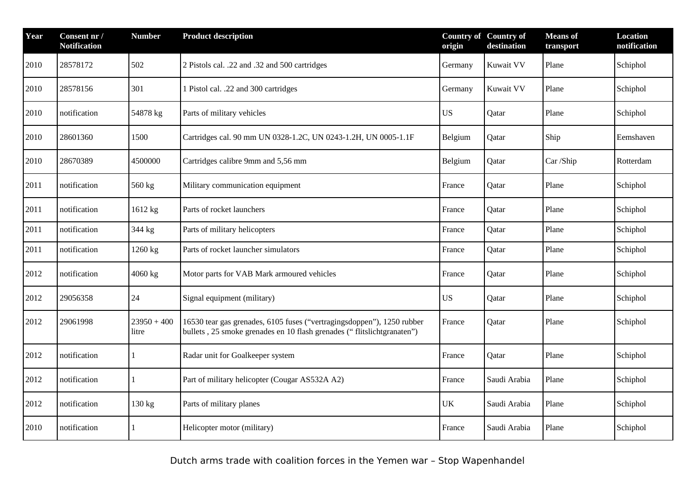| Year | Consent nr /<br><b>Notification</b> | <b>Number</b>          | <b>Product description</b>                                                                                                                                 | <b>Country of Country of</b><br>origin | destination  | <b>Means</b> of<br>transport | <b>Location</b><br>notification |
|------|-------------------------------------|------------------------|------------------------------------------------------------------------------------------------------------------------------------------------------------|----------------------------------------|--------------|------------------------------|---------------------------------|
| 2010 | 28578172                            | 502                    | 2 Pistols cal. .22 and .32 and 500 cartridges                                                                                                              | Germany                                | Kuwait VV    | Plane                        | Schiphol                        |
| 2010 | 28578156                            | 301                    | 1 Pistol cal. .22 and 300 cartridges                                                                                                                       | Germany                                | Kuwait VV    | Plane                        | Schiphol                        |
| 2010 | notification                        | 54878 kg               | Parts of military vehicles                                                                                                                                 | <b>US</b>                              | Qatar        | Plane                        | Schiphol                        |
| 2010 | 28601360                            | 1500                   | Cartridges cal. 90 mm UN 0328-1.2C, UN 0243-1.2H, UN 0005-1.1F                                                                                             | Belgium                                | Qatar        | Ship                         | Eemshaven                       |
| 2010 | 28670389                            | 4500000                | Cartridges calibre 9mm and 5,56 mm                                                                                                                         | Belgium                                | Qatar        | Car /Ship                    | Rotterdam                       |
| 2011 | notification                        | 560 kg                 | Military communication equipment<br>France                                                                                                                 |                                        | Qatar        | Plane                        | Schiphol                        |
| 2011 | notification                        | 1612 kg                | Parts of rocket launchers<br>France                                                                                                                        |                                        | Qatar        | Plane                        | Schiphol                        |
| 2011 | notification                        | 344 kg                 | Parts of military helicopters                                                                                                                              | France                                 | Qatar        | Plane                        | Schiphol                        |
| 2011 | notification                        | 1260 kg                | Parts of rocket launcher simulators                                                                                                                        | France                                 | Qatar        | Plane                        | Schiphol                        |
| 2012 | notification                        | 4060 kg                | Motor parts for VAB Mark armoured vehicles                                                                                                                 | France                                 | Qatar        | Plane                        | Schiphol                        |
| 2012 | 29056358                            | 24                     | Signal equipment (military)                                                                                                                                | <b>US</b>                              | Qatar        | Plane                        | Schiphol                        |
| 2012 | 29061998                            | $23950 + 400$<br>litre | 16530 tear gas grenades, 6105 fuses ("vertragingsdoppen"), 1250 rubber<br>France<br>bullets, 25 smoke grenades en 10 flash grenades ("flitslichtgranaten") |                                        | Qatar        | Plane                        | Schiphol                        |
| 2012 | notification                        |                        | Radar unit for Goalkeeper system                                                                                                                           | France                                 | Qatar        | Plane                        | Schiphol                        |
| 2012 | notification                        |                        | Part of military helicopter (Cougar AS532A A2)                                                                                                             | France                                 | Saudi Arabia | Plane                        | Schiphol                        |
| 2012 | notification                        | 130 kg                 | Parts of military planes                                                                                                                                   | UK                                     | Saudi Arabia | Plane                        | Schiphol                        |
| 2010 | notification                        |                        | Helicopter motor (military)                                                                                                                                | France                                 | Saudi Arabia | Plane                        | Schiphol                        |

Dutch arms trade with coalition forces in the Yemen war – Stop Wapenhandel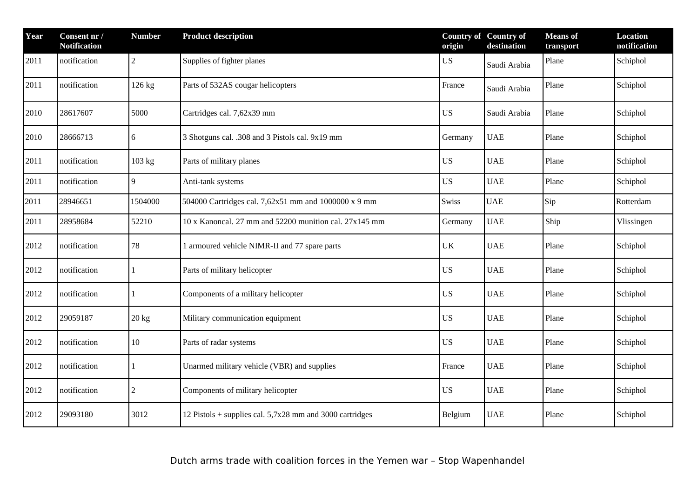| Year | Consent nr /<br><b>Notification</b> | <b>Number</b>    | <b>Product description</b>                               | origin    | <b>Country of Country of</b><br>destination | <b>Means</b> of<br>transport | <b>Location</b><br>notification |
|------|-------------------------------------|------------------|----------------------------------------------------------|-----------|---------------------------------------------|------------------------------|---------------------------------|
| 2011 | notification                        | $\overline{2}$   | Supplies of fighter planes                               | US        | Saudi Arabia                                | Plane                        | Schiphol                        |
| 2011 | notification                        | 126 kg           | Parts of 532AS cougar helicopters                        | France    | Saudi Arabia                                | Plane                        | Schiphol                        |
| 2010 | 28617607                            | 5000             | Cartridges cal. 7,62x39 mm                               | US        | Saudi Arabia                                | Plane                        | Schiphol                        |
| 2010 | 28666713                            | 6                | 3 Shotguns cal. .308 and 3 Pistols cal. 9x19 mm          | Germany   | <b>UAE</b>                                  | Plane                        | Schiphol                        |
| 2011 | notification                        | 103 kg           | Parts of military planes                                 | <b>US</b> | <b>UAE</b>                                  | Plane                        | Schiphol                        |
| 2011 | notification                        | $\boldsymbol{9}$ | Anti-tank systems                                        | <b>US</b> | <b>UAE</b>                                  | Plane                        | Schiphol                        |
| 2011 | 28946651                            | 1504000          | 504000 Cartridges cal. 7,62x51 mm and 1000000 x 9 mm     | Swiss     | <b>UAE</b>                                  | Sip                          | Rotterdam                       |
| 2011 | 28958684                            | 52210            | 10 x Kanoncal. 27 mm and 52200 munition cal. 27x145 mm   | Germany   | <b>UAE</b>                                  | Ship                         | Vlissingen                      |
| 2012 | notification                        | 78               | 1 armoured vehicle NIMR-II and 77 spare parts            | UK        | <b>UAE</b>                                  | Plane                        | Schiphol                        |
| 2012 | notification                        |                  | Parts of military helicopter                             | <b>US</b> | <b>UAE</b>                                  | Plane                        | Schiphol                        |
| 2012 | notification                        | 1                | Components of a military helicopter                      | <b>US</b> | <b>UAE</b>                                  | Plane                        | Schiphol                        |
| 2012 | 29059187                            | 20 kg            | Military communication equipment                         | US        | <b>UAE</b>                                  | Plane                        | Schiphol                        |
| 2012 | notification                        | 10               | Parts of radar systems                                   | <b>US</b> | <b>UAE</b>                                  | Plane                        | Schiphol                        |
| 2012 | notification                        |                  | Unarmed military vehicle (VBR) and supplies              | France    | <b>UAE</b>                                  | Plane                        | Schiphol                        |
| 2012 | notification                        | $\overline{2}$   | Components of military helicopter                        | <b>US</b> | <b>UAE</b>                                  | Plane                        | Schiphol                        |
| 2012 | 29093180                            | 3012             | 12 Pistols + supplies cal. 5,7x28 mm and 3000 cartridges | Belgium   | <b>UAE</b>                                  | Plane                        | Schiphol                        |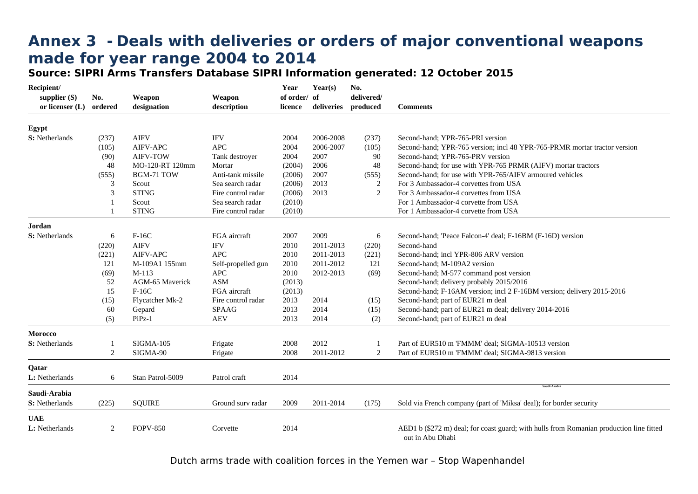# **Annex 3 - Deals with deliveries or orders of major conventional weapons made for year range 2004 to 2014**

**Source: SIPRI Arms Transfers Database SIPRI Information generated: 12 October 2015**

| Recipient/<br>supplier $(S)$<br>or licenser (L) | No.<br>ordered | Weapon<br>designation | Weapon<br>description | Year<br>of order/ of<br>licence | Year(s)<br>deliveries | No.<br>delivered/<br>produced | <b>Comments</b>                                                                                             |
|-------------------------------------------------|----------------|-----------------------|-----------------------|---------------------------------|-----------------------|-------------------------------|-------------------------------------------------------------------------------------------------------------|
|                                                 |                |                       |                       |                                 |                       |                               |                                                                                                             |
| Egypt                                           |                |                       |                       |                                 |                       |                               |                                                                                                             |
| S: Netherlands                                  | (237)          | <b>AIFV</b>           | <b>IFV</b>            | 2004                            | 2006-2008             | (237)                         | Second-hand; YPR-765-PRI version                                                                            |
|                                                 | (105)          | <b>AIFV-APC</b>       | <b>APC</b>            | 2004                            | 2006-2007             | (105)                         | Second-hand; YPR-765 version; incl 48 YPR-765-PRMR mortar tractor version                                   |
|                                                 | (90)           | <b>AIFV-TOW</b>       | Tank destroyer        | 2004                            | 2007                  | 90                            | Second-hand: YPR-765-PRV version                                                                            |
|                                                 | 48             | MO-120-RT 120mm       | Mortar                | (2004)                          | 2006                  | 48                            | Second-hand; for use with YPR-765 PRMR (AIFV) mortar tractors                                               |
|                                                 | (555)          | BGM-71 TOW            | Anti-tank missile     | (2006)                          | 2007                  | (555)                         | Second-hand; for use with YPR-765/AIFV armoured vehicles                                                    |
|                                                 | 3              | Scout                 | Sea search radar      | (2006)                          | 2013                  | $\overline{c}$                | For 3 Ambassador-4 corvettes from USA                                                                       |
|                                                 | 3              | <b>STING</b>          | Fire control radar    | (2006)                          | 2013                  | 2                             | For 3 Ambassador-4 corvettes from USA                                                                       |
|                                                 |                | Scout                 | Sea search radar      | (2010)                          |                       |                               | For 1 Ambassador-4 corvette from USA                                                                        |
|                                                 |                | <b>STING</b>          | Fire control radar    | (2010)                          |                       |                               | For 1 Ambassador-4 corvette from USA                                                                        |
| Jordan                                          |                |                       |                       |                                 |                       |                               |                                                                                                             |
| S: Netherlands                                  | 6              | $F-16C$               | FGA aircraft          | 2007                            | 2009                  | 6                             | Second-hand; 'Peace Falcon-4' deal; F-16BM (F-16D) version                                                  |
|                                                 | (220)          | <b>AIFV</b>           | <b>IFV</b>            | 2010                            | 2011-2013             | (220)                         | Second-hand                                                                                                 |
|                                                 | (221)          | <b>AIFV-APC</b>       | <b>APC</b>            | 2010                            | 2011-2013             | (221)                         | Second-hand; incl YPR-806 ARV version                                                                       |
|                                                 | 121            | M-109A1 155mm         | Self-propelled gun    | 2010                            | 2011-2012             | 121                           | Second-hand; M-109A2 version                                                                                |
|                                                 | (69)           | $M-113$               | <b>APC</b>            | 2010                            | 2012-2013             | (69)                          | Second-hand; M-577 command post version                                                                     |
|                                                 | 52             | AGM-65 Maverick       | <b>ASM</b>            | (2013)                          |                       |                               | Second-hand; delivery probably 2015/2016                                                                    |
|                                                 | 15             | $F-16C$               | FGA aircraft          | (2013)                          |                       |                               | Second-hand; F-16AM version; incl 2 F-16BM version; delivery 2015-2016                                      |
|                                                 | (15)           | Flycatcher Mk-2       | Fire control radar    | 2013                            | 2014                  | (15)                          | Second-hand; part of EUR21 m deal                                                                           |
|                                                 | 60             | Gepard                | <b>SPAAG</b>          | 2013                            | 2014                  | (15)                          | Second-hand; part of EUR21 m deal; delivery 2014-2016                                                       |
|                                                 | (5)            | $PiPz-1$              | <b>AEV</b>            | 2013                            | 2014                  | (2)                           | Second-hand; part of EUR21 m deal                                                                           |
| <b>Morocco</b>                                  |                |                       |                       |                                 |                       |                               |                                                                                                             |
| S: Netherlands                                  |                | <b>SIGMA-105</b>      | Frigate               | 2008                            | 2012                  |                               | Part of EUR510 m 'FMMM' deal; SIGMA-10513 version                                                           |
|                                                 | 2              | SIGMA-90              | Frigate               | 2008                            | 2011-2012             | 2                             | Part of EUR510 m 'FMMM' deal; SIGMA-9813 version                                                            |
| Qatar                                           |                |                       |                       |                                 |                       |                               |                                                                                                             |
| L: Netherlands                                  | 6              | Stan Patrol-5009      | Patrol craft          | 2014                            |                       |                               |                                                                                                             |
| Saudi-Arabia                                    |                |                       |                       |                                 |                       |                               | Saudi Arabia                                                                                                |
| S: Netherlands                                  | (225)          | <b>SQUIRE</b>         | Ground surv radar     | 2009                            | 2011-2014             | (175)                         | Sold via French company (part of 'Miksa' deal); for border security                                         |
| <b>UAE</b>                                      |                |                       |                       |                                 |                       |                               |                                                                                                             |
| L: Netherlands                                  | 2              | <b>FOPV-850</b>       | Corvette              | 2014                            |                       |                               | AED1 b (\$272 m) deal; for coast guard; with hulls from Romanian production line fitted<br>out in Abu Dhabi |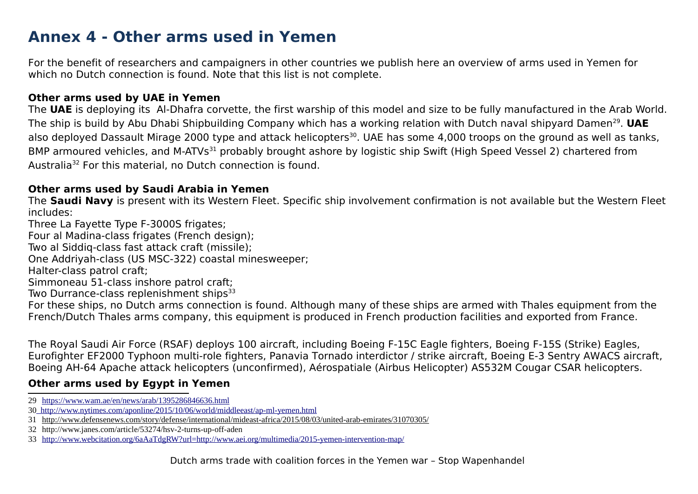# **Annex 4 - Other arms used in Yemen**

For the benefit of researchers and campaigners in other countries we publish here an overview of arms used in Yemen for which no Dutch connection is found. Note that this list is not complete.

#### **Other arms used by UAE in Yemen**

The **UAE** is deploying its Al-Dhafra corvette, the first warship of this model and size to be fully manufactured in the Arab World. The ship is build by Abu Dhabi Shipbuilding Company which has a working relation with Dutch naval shipyard Damen<sup>[29](#page-17-0)</sup>. **UAE** also deployed Dassault Mirage 2000 type and attack helicopters<sup>[30](#page-17-1)</sup>. UAE has some 4,000 troops on the ground as well as tanks, BMP armoured vehicles, and M-ATVs<sup>[31](#page-17-2)</sup> probably brought ashore by logistic ship Swift (High Speed Vessel 2) chartered from Australia[32](#page-17-3) For this material, no Dutch connection is found.

#### **Other arms used by Saudi Arabia in Yemen**

The **Saudi Navy** is present with its Western Fleet. Specific ship involvement confirmation is not available but the Western Fleet includes:

Three La Fayette Type F-3000S frigates;

Four al Madina-class frigates (French design);

Two al Siddiq-class fast attack craft (missile);

One Addriyah-class (US MSC-322) coastal minesweeper;

Halter-class patrol craft;

Simmoneau 51-class inshore patrol craft;

Two Durrance-class replenishment ships<sup>[33](#page-17-4)</sup>

For these ships, no Dutch arms connection is found. Although many of these ships are armed with Thales equipment from the French/Dutch Thales arms company, this equipment is produced in French production facilities and exported from France.

The Royal Saudi Air Force (RSAF) deploys 100 aircraft, including Boeing F-15C Eagle fighters, Boeing F-15S (Strike) Eagles, Eurofighter EF2000 Typhoon multi-role fighters, Panavia Tornado interdictor / strike aircraft, Boeing E-3 Sentry AWACS aircraft, Boeing AH-64 Apache attack helicopters (unconfirmed), Aérospatiale (Airbus Helicopter) AS532M Cougar CSAR helicopters.

#### **Other arms used by Egypt in Yemen**

- <span id="page-17-0"></span>29 <https://www.wam.ae/en/news/arab/1395286846636.html>
- <span id="page-17-1"></span>30 <http://www.nytimes.com/aponline/2015/10/06/world/middleeast/ap-ml-yemen.html>

<span id="page-17-3"></span>32 <http://www.janes.com/article/53274/hsv-2-turns-up-off-aden>

<span id="page-17-2"></span><sup>31</sup> <http://www.defensenews.com/story/defense/international/mideast-africa/2015/08/03/united-arab-emirates/31070305/>

<span id="page-17-4"></span><sup>33</sup> <http://www.webcitation.org/6aAaTdgRW?url=http://www.aei.org/multimedia/2015-yemen-intervention-map/>